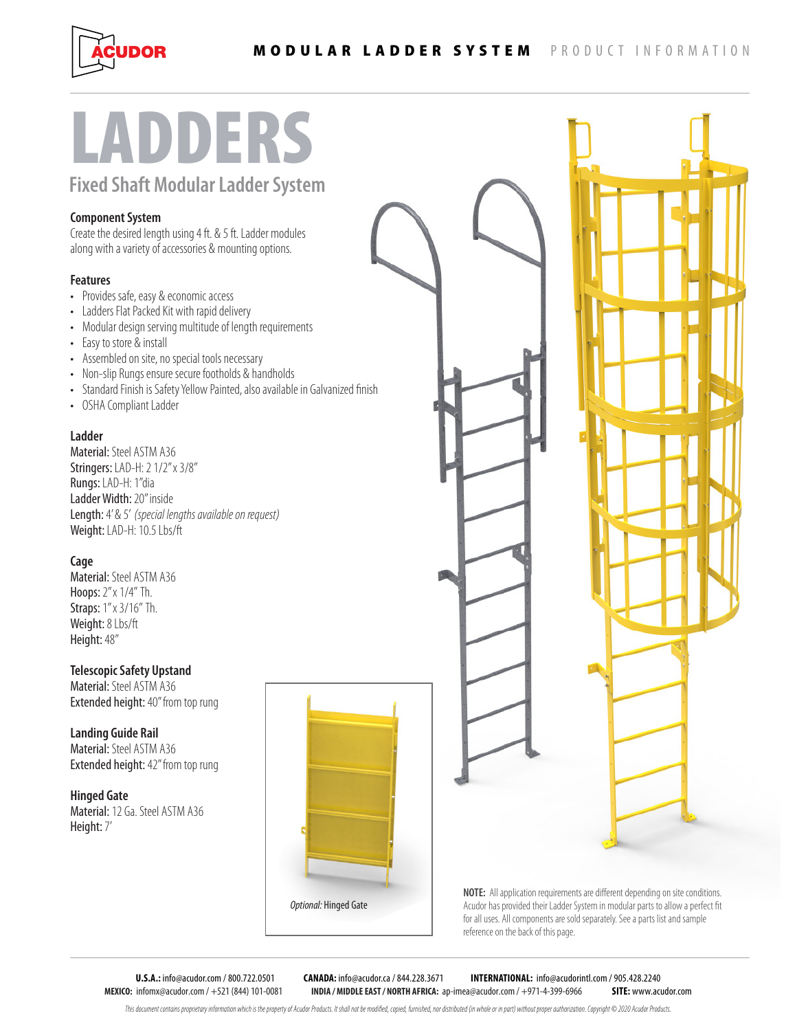

# LADDERS

**Fixed Shaft Modular Ladder System**

# **Component System**

Create the desired length using 4 ft. & 5 ft. Ladder modules along with a variety of accessories & mounting options.

## **Features**

- Provides safe, easy & economic access
- Ladders Flat Packed Kit with rapid delivery
- Modular design serving multitude of length requirements
- Easy to store & install
- Assembled on site, no special tools necessary
- Non-slip Rungs ensure secure footholds & handholds
- Standard Finish is Safety Yellow Painted, also available in Galvanized finish
- OSHA Compliant Ladder

## **Ladder**

Material: Steel ASTM A36 Stringers: LAD-H: 2 1/2" x 3/8" Rungs: LAD-H: 1"dia Ladder Width: 20" inside Length: 4' & 5' *(special lengths available on request)* Weight: LAD-H: 10.5 Lbs/ft

## **Cage**

Material: Steel ASTM A36 Hoops: 2" x 1/4" Th. Straps: 1" x 3/16" Th. Weight: 8 Lbs/ft Height: 48"

## **Telescopic Safety Upstand**

Material: Steel ASTM A36 Extended height: 40" from top rung

**Landing Guide Rail** Material: Steel ASTM A36 Extended height: 42" from top rung

**Hinged Gate** Material: 12 Ga. Steel ASTM A36 Height: 7'



**NOTE:** All application requirements are different depending on site conditions. Acudor has provided their Ladder System in modular parts to allow a perfect fit for all uses. All components are sold separately. See a parts list and sample reference on the back of this page.

**MEXICO:** infomx@acudor.com / +521 (844) 101-0081 **INDIA / MIDDLE EAST / NORTH AFRICA:** ap-imea@acudor.com / +971-4-399-6966 **SITE:** www.acudor.com

**U.S.A.:** info@acudor.com / 800.722.0501 **CANADA:** info@acudor.ca / 844.228.3671 **INTERNATIONAL:** info@acudorintl.com / 905.428.2240

This document contains proprietary information which is the property of Acudor Products. It shall not be modified, copied, furnished, nor distributed (in whole or in part) without proper authorization. Copyright © 2020 Acu